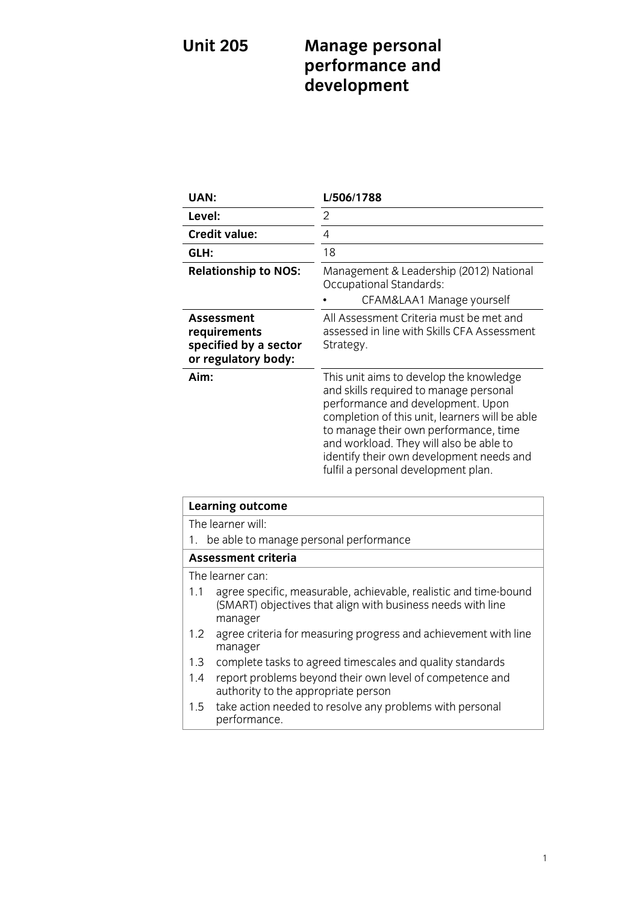# **U**nit 2005 **Management** .<br>development **development**

| UAN:                                                                              | L/506/1788                                                                                                                                                                                                                                                                                                                                      |
|-----------------------------------------------------------------------------------|-------------------------------------------------------------------------------------------------------------------------------------------------------------------------------------------------------------------------------------------------------------------------------------------------------------------------------------------------|
| Level:                                                                            | 2                                                                                                                                                                                                                                                                                                                                               |
| <b>Credit value:</b>                                                              | 4                                                                                                                                                                                                                                                                                                                                               |
| GLH:                                                                              | 18                                                                                                                                                                                                                                                                                                                                              |
| <b>Relationship to NOS:</b>                                                       | Management & Leadership (2012) National<br>Occupational Standards:<br>CFAM&LAA1 Manage yourself                                                                                                                                                                                                                                                 |
| <b>Assessment</b><br>requirements<br>specified by a sector<br>or regulatory body: | All Assessment Criteria must be met and<br>assessed in line with Skills CFA Assessment<br>Strategy.                                                                                                                                                                                                                                             |
| Aim:                                                                              | This unit aims to develop the knowledge<br>and skills required to manage personal<br>performance and development. Upon<br>completion of this unit, learners will be able<br>to manage their own performance, time<br>and workload. They will also be able to<br>identify their own development needs and<br>fulfil a personal development plan. |

| <b>Learning outcome</b>                |                                                                                                                                            |
|----------------------------------------|--------------------------------------------------------------------------------------------------------------------------------------------|
| The learner will:                      |                                                                                                                                            |
| be able to manage personal performance |                                                                                                                                            |
| Assessment criteria                    |                                                                                                                                            |
|                                        | The learner can:                                                                                                                           |
| 1.1                                    | agree specific, measurable, achievable, realistic and time-bound<br>(SMART) objectives that align with business needs with line<br>manager |
| 1.2                                    | agree criteria for measuring progress and achievement with line<br>manager                                                                 |
| 1.3                                    | complete tasks to agreed timescales and quality standards                                                                                  |
| 1.4                                    | report problems beyond their own level of competence and<br>authority to the appropriate person                                            |
| 1.5                                    | take action needed to resolve any problems with personal<br>performance.                                                                   |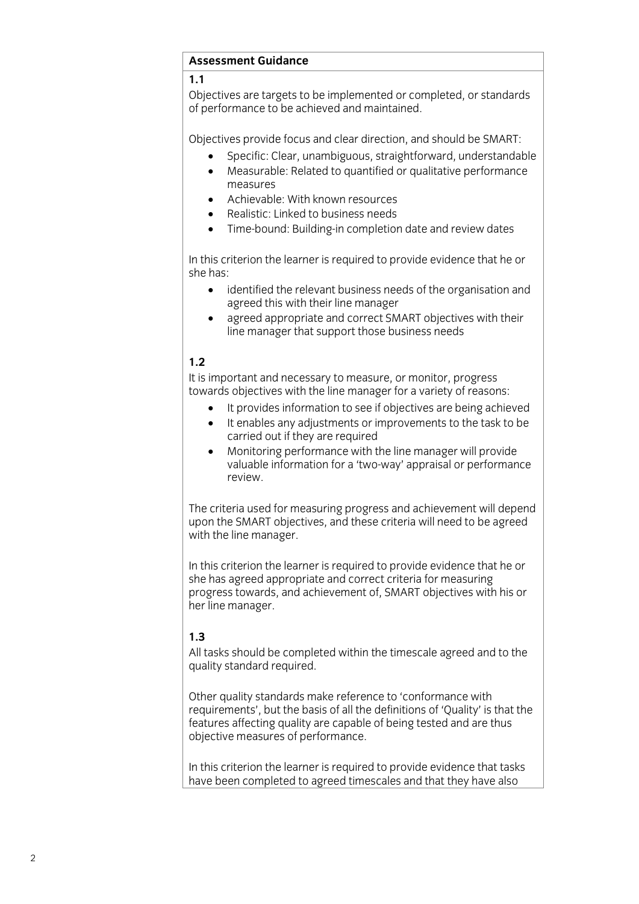#### **Assessment Guidance Assessment Guidance**

Objectives are targets to be implemented or completed, or standards of performance to be achieved and maintained. of performance to be achieved and maintained.

- Specific: Clear, unambiguous, straightforward, understandable<br>• Measurable: Related to quantified or qualitative performance
	- Measurable: Related to quantified or qualitative performance
	- Achievable: With known resources<br>• Realistic: Linked to business needs
	- Realistic: Linked to business needs
	- Time-bound: Building-in completion date and review dates

In this criterion the learner is required to provide evidence that he or she has:

- she has: identified the relevant business needs of the organisation and agreed this with their line manager
	- agreed appropriate and correct SMART objectives with their<br>line manager that support those business needs line manager that support those business needs

#### $1.2$

It is important and necessary to measure, or monitor, progress towards objectives with the line manager for a variety of reasons:

- It provides information to see if objectives are being achieved<br>It enables any adjustments or improvements to the task to be
	- It enables any adjustments or improvements to the task to be carried out if they are required
	- Monitoring performance with the line manager will provide<br>valuable information for a 'two-way' appraisal or performan valuable information for a 'two-way' appraisal or performance

The criteria used for measuring progress and achievement will depend upon the SMART objectives, and these criteria will need to be agreed with the line manager. with the line manager.

In this criterion the learner is required to provide evidence that he or she has agreed appropriate and correct criteria for measuring progress towards, and achievement of, SMART objectives with his or her line manager. her line manager.

# $1.3$

All tasks should be completed within the timescale agreed and to the quality standard required.  $q = q \pm 1$  standard required.

Other quality standards make reference to 'conformance with<br>requirements', but the basis of all the definitions of 'Quality' is that the features affecting quality are capable of being tested and are thus objective measures of performance. objective measures of performance.

 $\frac{1}{2}$  have been completed to agreed timescales and that they have also have been completed to agreed that the timescales and the that they have also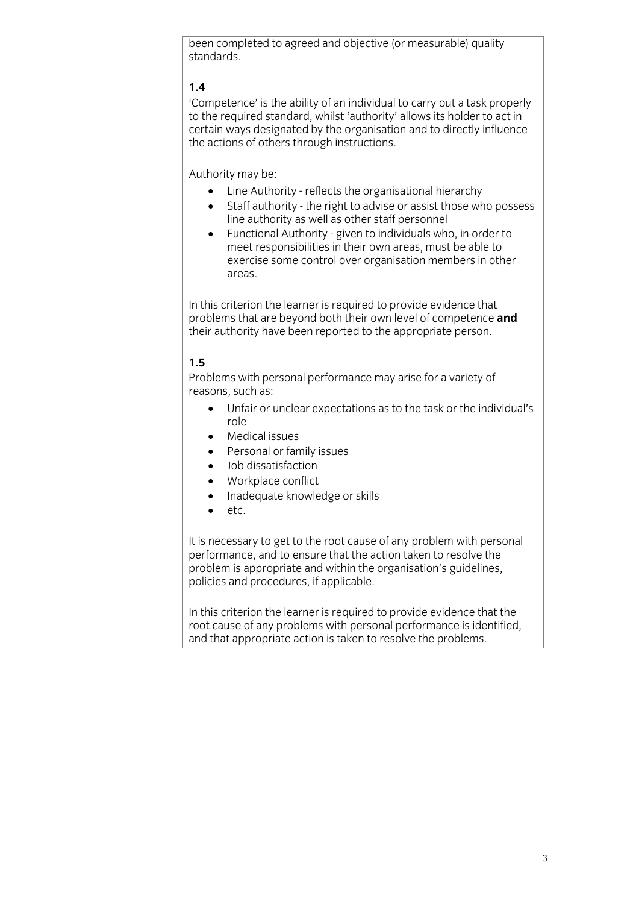been completed to agreed and objective (or measurable) quality standards.

# $1.4$

'Competence' is the ability of an individual to carry out a task properly to the required standard, whilst 'authority' allows its holder to act in to the organisation and to directly influence certain ways designated by the organisation and to directly influence the actions of others through instructions.  $\frac{1}{\sqrt{2}}$ 

- $\bullet$  Line Authority reflects the organisational hierarchy<br>  $\bullet$  Staff authority the right to advise or assist those when
	- Staff authority the right to advise or assist those who possess line authority as well as other staff personnel
	- Internal Authority given to individuals who, in order to<br>meet responsibilities in their own areas, must be able to exercise some control over organisation members in other exercise some control over organisation members in other organisation members in other control or  $\sigma$

In this criterion the learner is required to provide evidence that problems that are beyond both their own level of competence and their authority have been reported to the appropriate person. their authority have been reported to the appropriate person.

### $1.5$

Problems with personal performance may arise for a variety of reasons, such as:

- $\bullet$  Unfair or unclear expectations as to the task or the individual's role
	- Medical issues<br>• Personal or far
	- Personal or family issues<br>• Iob dissatisfaction
	- Job dissatisfaction
	- Workplace conflict<br>• Inadequate knowle
	- Inadequate knowledge or skills<br>• etc
	- etc.

It is necessary to get to the root cause of any problem with personal performance, and to ensure that the action taken to resolve the problem is appropriate and within the organisation's guidelines, problem is appropriate and procedures, if annitrable policies and procedures, if applicable.

In this criterion the learner is required to provide evidence that the root cause of any problems with personal performance is identified. and that appropriate action is taken to resolve the problems. and that all the appropriate action is taken to resolve the problems. The problems of the problems of the problems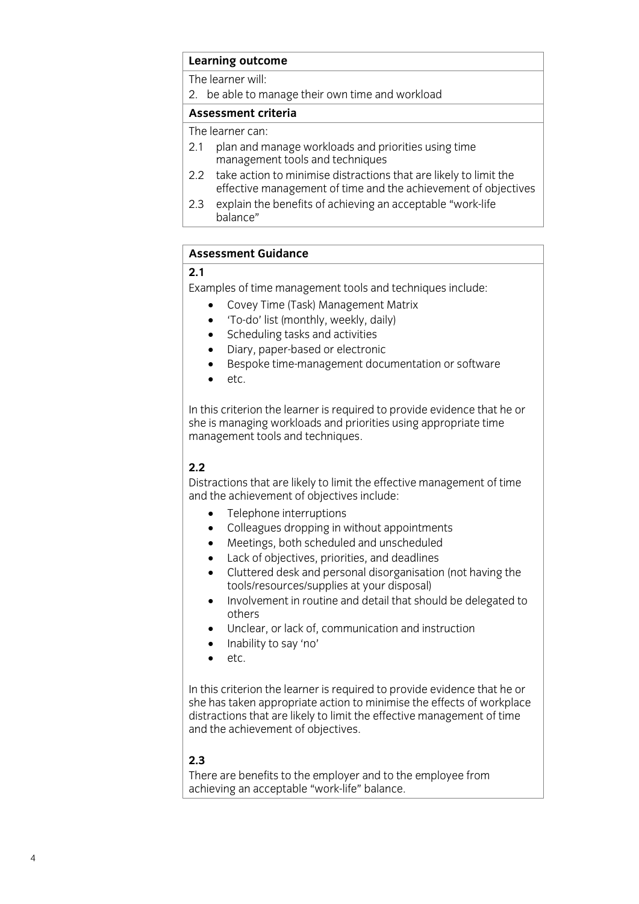# **Learning outcome**<br>The learner will:

2. be able to manage their own time and workload

# Assessment criteria

The learner can:

- 2.1 plan and manage workloads and priorities using time management tools and techniques
- $2.2$ take action to minimise distractions that are likely to limit the effective management of time and the achievement of objectives
- 2.3 explain the benefits of achieving an acceptable "work-life" balance" balance"

#### **Assessment Guidance Assessment Guidance**

Examples of time management tools and techniques include:

- $\bullet$  Covey Time (Task) Management Matrix<br>  $\bullet$  'To-do' list (monthly weekly daily)
	- 'To-do' list (monthly, weekly, daily)<br>• Scheduling tasks and activities
	- Scheduling tasks and activities<br>• Diary naner-hased or electron
	- Diary, paper-based or electronic
	- Bespoke time-management documentation or software
	- etc.

In this criterion the learner is required to provide evidence that he or she is managing workloads and priorities using appropriate time management tools and techniques.  $\overline{a}$ 

# $2.2$

Distractions that are likely to limit the effective management of time and the achievement of objectives include:

- Telephone interruptions<br>• Colleagues dropping in without and
	- Colleagues dropping in without appointments<br>• Meetings both scheduled and unscheduled
	- Meetings, both scheduled and unscheduled<br>• Lack of objectives priorities and deadlines
	- Lack of objectives, priorities, and deadlines<br>• Cluttered desk and personal disorganisation
	- Cluttered desk and personal disorganisation (not having the tools/resources/supplies at your disposal)
	- Involvement in routine and detail that should be delegated to others
	- Unclear, or lack of, communication and instruction<br>• Inability to say 'no'
	- Inability to say 'no'
	- etc.

In this criterion the learner is required to provide evidence that he or she has taken appropriate action to minimise the effects of workplace distractions that are likely to limit the effective management of time and the achievement of objectives. and the achievement of objectives.

# $2.3$

There are benefits to the employer and to the employee from  $\alpha$  achieving an accentable "work-life" balance achieving an acceptable "work-life" balance.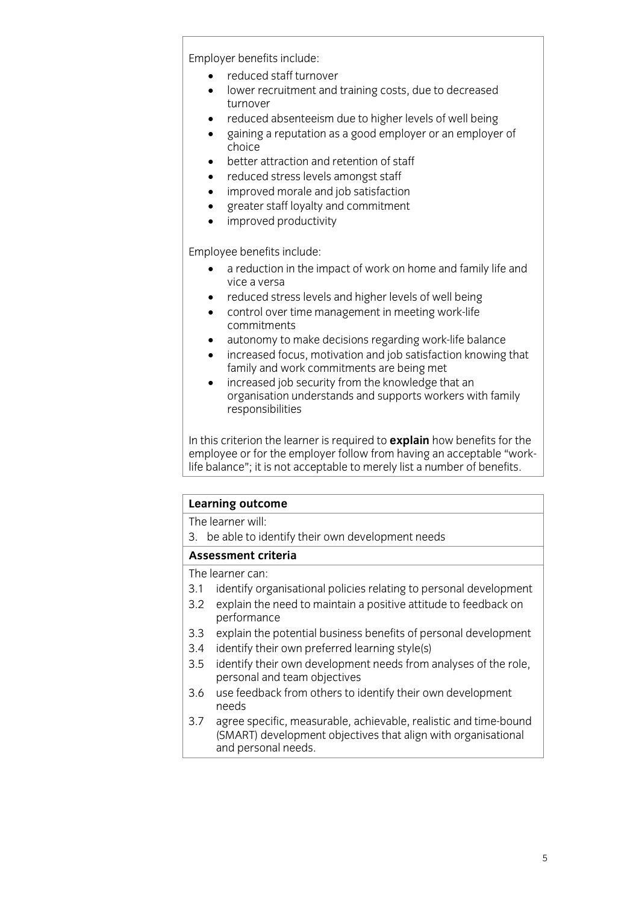Employer benefits include:<br>
• reduced staff turnover

- reduced staff turnover<br>• lower recruitment and
- lower recruitment and training costs, due to decreased
- reduced absenteeism due to higher levels of well being<br>• gaining a reputation as a good employer or an employe
- gaining a reputation as a good employer or an employer of
- better attraction and retention of staff<br>• reduced stress levels amongst staff
- reduced stress levels amongst staff
- improved morale and job satisfaction
- greater staff loyalty and commitment<br>• improved productivity
- improved productivity

- $\bullet$  a reduction in the impact of work on home and family life and vice a versa
	- reduced stress levels and higher levels of well being<br>• control over time management in meeting work-life
	- control over time management in meeting work-life
	- autonomy to make decisions regarding work-life balance<br>• increased focus motivation and job satisfaction knowing
	- increased focus, motivation and job satisfaction knowing that
	- increased job security from the knowledge that an increased job security from the knowledge that an responsibilities responsibilities

In this criterion the learner is required to **explain** how benefits for the employee or for the employer follow from having an acceptable "worklife balance"; it is not acceptable to merely list a number of benefits. life balance"; it is not acceptable to merely list a number of benefits.

#### **Learning outcome**

The learner will:

3. be able to identify their own development needs

#### Assessment criteria

The learner can:

- 3.1 identify organisational policies relating to personal development
- 3.2 explain the need to maintain a positive attitude to feedback on performance
- $3.3$ explain the potential business benefits of personal development
- 3.4 identify their own preferred learning style(s)
- 3.5 identify their own development needs from analyses of the role, personal and team objectives
- $3.6$ use feedback from others to identify their own development  $3.6$  use feedback from others to identify the identify the  $\frac{1}{2}$  theorem over  $\frac{1}{2}$
- $3.7$ agree specific, measurable, achievable, realistic and time-bound (SMART) development objectives that align with organisational and personal needs. and personal needs and personal needs to be a personal needs to be a personal needs to be a personal needs to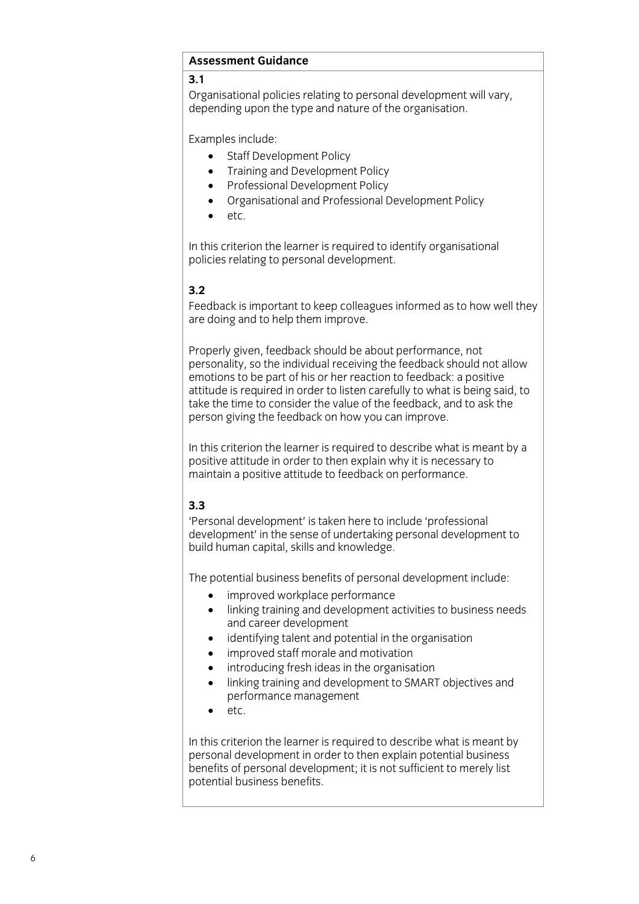#### **Assessment Guidance Assessment Guidance Guidance Guidance**

Organisational policies relating to personal development will vary, depending upon the type and nature of the organisation. depending upon the type and nature of the organisation.

Examples include:

- Staff Development Policy<br>• Training and Development
	- Training and Development Policy<br>• Professional Development Policy
	- Professional Development Policy
	- Organisational and Professional Development Policy
	- etc.

In this criterion the learner is required to identify organisational policies relating to personal development. policies relating to personal development.

# $3.2$

Feedback is important to keep colleagues informed as to how well they are doing and to help them improve. are doing and to help them improve.

Properly given, feedback should be about performance, not personality, so the individual receiving the feedback should not allow emotions to be part of his or her reaction to feedback: a positive attitude is required in order to listen carefully to what is being said, to take the time to consider the value of the feedback, and to ask the  $\frac{1}{10}$  the time the feedback on how you can improve.  $\mathbf{p}$  is the feedback on the feedback on  $\mathbf{p}$ 

In this criterion the learner is required to describe what is meant by a positive attitude in order to then explain why it is necessary to maintain a positive attitude to feedback on performance. maintain a positive attitude to feedback on performance.

# $3.3$

'Personal development' is taken here to include 'professional development' in the sense of undertaking personal development to build human capital, skills and knowledge. build human capital, skills and knowledge.

- 
- The potential business benefits of performance<br> **Example 2** include training and development activities to business ne linking training and development activities to business needs
	- $\bullet$  identifying talent and potential in the organisation
	- improved staff morale and motivation
	- introducing fresh ideas in the organisation
	- linking training and development to SMART objectives and performance management<br>atc
	- etc.

In this criterion the learner is required to describe what is meant by personal development in order to then explain potential business benefits of personal development; it is not sufficient to merely list potential business benefits. potential business benefits.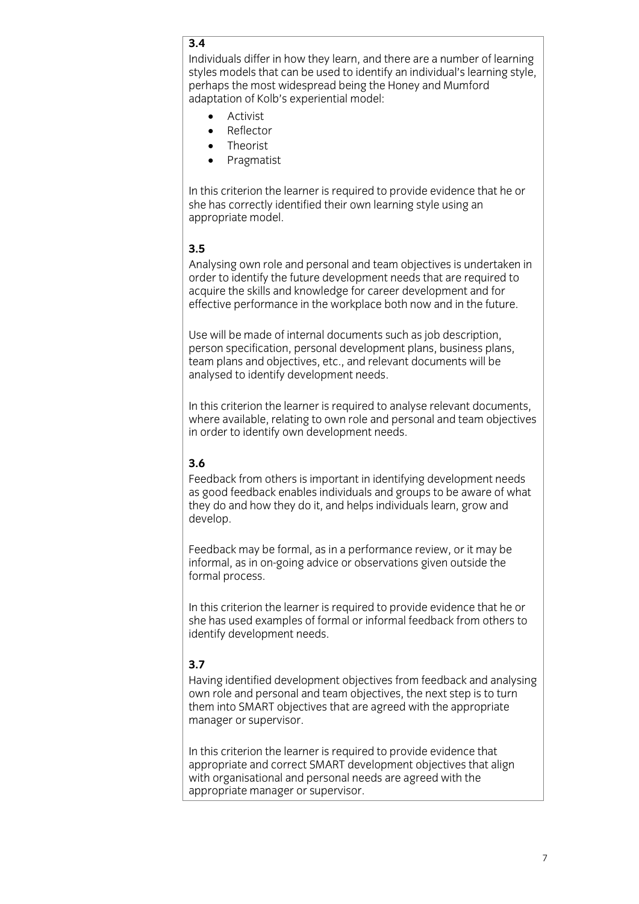# $\overline{3.4}$

Individuals differ in how they learn, and there are a number of learning styles models that can be used to identify an individual's learning style. perhaps the most widespread being the Honey and Mumford adaptation of Kolb's experiential model:

- $\bullet$  Activist • Activist<br>• Reflecto
- 
- Reflector<br>• Theorist • Theorist<br>• Pragmat
- Pragmatist

In this criterion the learner is required to provide evidence that he or she has correctly identified their own learning style using an appropriate model. appropriate model.

#### $3.5$

Analysing own role and personal and team objectives is undertaken in order to identify the future development needs that are required to acquire the skills and knowledge for career development and for effective performance in the workplace both now and in the future. effective performance in the workplace both now and in the future.

Use will be made of internal documents such as job description. person specification, personal development plans, business plans, team plans and objectives, etc., and relevant documents will be analysed to identify development needs. analysed to identify development needs.

In this criterion the learner is required to analyse relevant documents, where available, relating to own role and personal and team objectives in order to identify own development needs. in order to identify own development needs.

#### $3.6$

Feedback from others is important in identifying development needs as good feedback enables individuals and groups to be aware of what they do and how they do it, and helps individuals learn, grow and develop. develop.

Feedback may be formal, as in a performance review, or it may be informal, as in on-going advice or observations given outside the formal process. formal process.

In this criterion the learner is required to provide evidence that he or she has used examples of formal or informal feedback from others to she has used that the has used the formal feedback from our informal feedback from our informal feedback from others to the state of the state of the state of the state of the state of the state of the state of the state o identify development needs.

# $3.7$

Having identified development objectives from feedback and analysing own role and personal and team objectives, the next step is to turn them into SMART objectives that are agreed with the appropriate  $t$  m into  $\sim$   $\frac{1}{2}$  m into  $\frac{1}{2}$  m into  $\frac{1}{2}$  m into  $\frac{1}{2}$  m into  $\frac{1}{2}$  m into  $\frac{1}{2}$  m into  $\frac{1}{2}$  m into  $\frac{1}{2}$  m into  $\frac{1}{2}$  m into  $\frac{1}{2}$  m into  $\frac{1}{2}$  m into  $\frac{1}{2}$  m into manager or supervisor.

In this criterion the learner is required to provide evidence that appropriate and correct SMART development objectives that align with organisational and personal needs are agreed with the appropriate manager or supervisor.  $\frac{1}{2}$  is supervisor. The manager of supervisors is supported to the supervisor of  $\frac{1}{2}$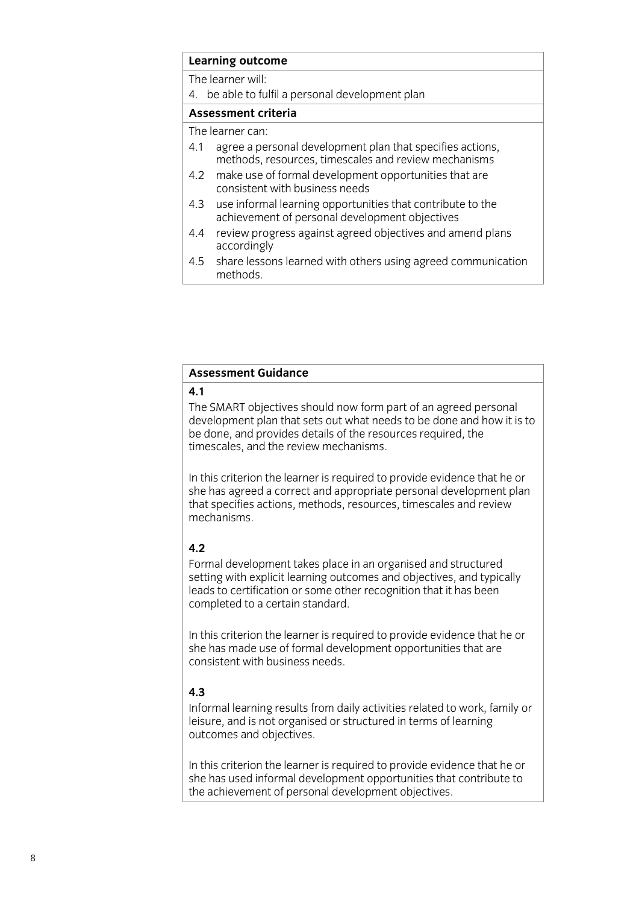# **Learning outcome**<br>The learner will:

4. be able to fulfil a personal development plan

## Assessment criteria

The learner can:

- 4.1 agree a personal development plan that specifies actions, methods, resources, timescales and review mechanisms
- $4.2$ make use of formal development opportunities that are consistent with business needs
- $4.3$ use informal learning opportunities that contribute to the achievement of personal development objectives
- $4.4$ review progress against agreed objectives and amend plans accordingly
- share lessons learned with others using agreed communication  $4.5$ methods. methods.

#### **Assessment Guidance Assessment Guidance**

The SMART objectives should now form part of an agreed personal development plan that sets out what needs to be done and how it is to be done, and provides details of the resources required, the timescales, and the review mechanisms. timescales, and the review mechanisms.

In this criterion the learner is required to provide evidence that he or she has agreed a correct and appropriate personal development plan that specifies actions, methods, resources, timescales and review mechanisms. mechanisms.

#### $4.2$

Formal development takes place in an organised and structured setting with explicit learning outcomes and objectives, and typically leads to certification or some other recognition that it has been completed to a certain standard. completed to a certain standard.

In this criterion the learner is required to provide evidence that he or she has made use of formal development opportunities that are consistent with business needs. consistent with business needs.

# $4.3$

Informal learning results from daily activities related to work, family or leisure, and is not organised or structured in terms of learning outcomes and objectives. outcomes and objectives.

In this criterion the learner is required to provide evidence that he or she has used informal development opportunities that contribute to the achievement of personal development objectives. the achievement of personal development objectives.